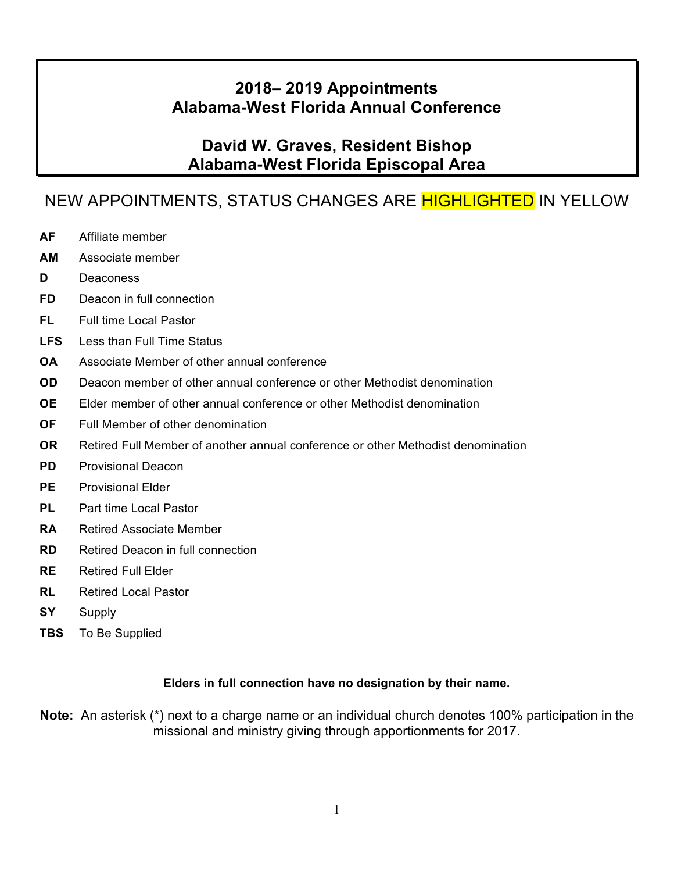## **2018– 2019 Appointments Alabama-West Florida Annual Conference**

## **David W. Graves, Resident Bishop Alabama-West Florida Episcopal Area**

# NEW APPOINTMENTS, STATUS CHANGES ARE HIGHLIGHTED IN YELLOW

- **AF** Affiliate member
- **AM** Associate member
- **D** Deaconess
- **FD** Deacon in full connection
- **FL** Full time Local Pastor
- **LFS** Less than Full Time Status
- **OA** Associate Member of other annual conference
- **OD** Deacon member of other annual conference or other Methodist denomination
- **OE** Elder member of other annual conference or other Methodist denomination
- **OF** Full Member of other denomination
- **OR** Retired Full Member of another annual conference or other Methodist denomination
- **PD** Provisional Deacon
- **PE** Provisional Elder
- **PL** Part time Local Pastor
- **RA** Retired Associate Member
- **RD** Retired Deacon in full connection
- **RE** Retired Full Elder
- **RL** Retired Local Pastor
- **SY** Supply
- **TBS** To Be Supplied

#### **Elders in full connection have no designation by their name.**

**Note:** An asterisk (\*) next to a charge name or an individual church denotes 100% participation in the missional and ministry giving through apportionments for 2017.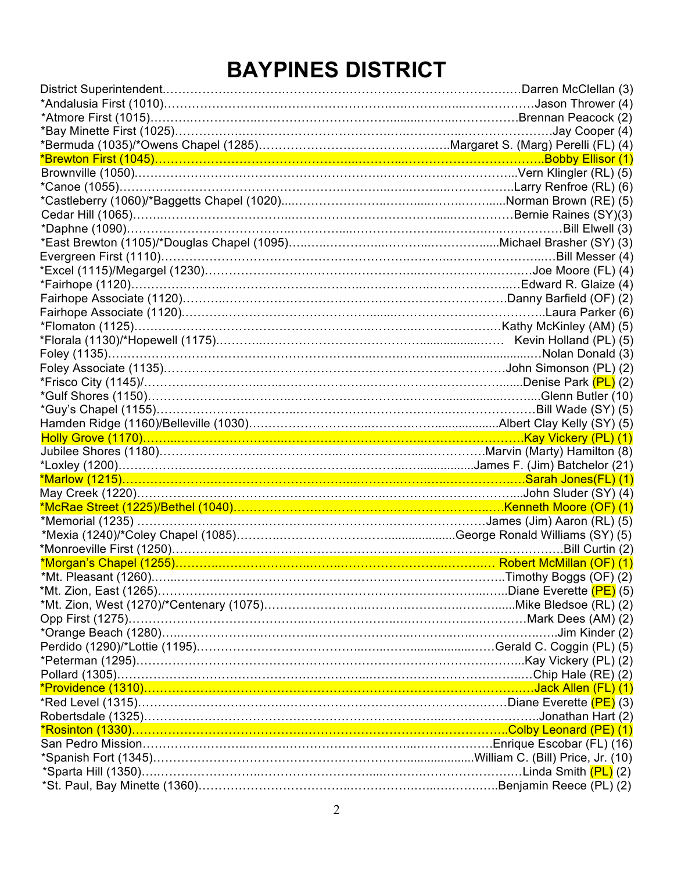# **BAYPINES DISTRICT**

| <u> *Brewton First (1045)……………………………………………………………………………………………Bobby Ellisor (1)</u>     |  |
|---------------------------------------------------------------------------------------|--|
|                                                                                       |  |
|                                                                                       |  |
|                                                                                       |  |
|                                                                                       |  |
|                                                                                       |  |
|                                                                                       |  |
|                                                                                       |  |
|                                                                                       |  |
|                                                                                       |  |
|                                                                                       |  |
|                                                                                       |  |
|                                                                                       |  |
|                                                                                       |  |
|                                                                                       |  |
|                                                                                       |  |
| *Frisco City (1145)/……………………………………………………………………………………Denise Park (PL) (2)              |  |
|                                                                                       |  |
|                                                                                       |  |
|                                                                                       |  |
|                                                                                       |  |
|                                                                                       |  |
|                                                                                       |  |
|                                                                                       |  |
|                                                                                       |  |
|                                                                                       |  |
|                                                                                       |  |
|                                                                                       |  |
|                                                                                       |  |
|                                                                                       |  |
|                                                                                       |  |
|                                                                                       |  |
|                                                                                       |  |
|                                                                                       |  |
|                                                                                       |  |
|                                                                                       |  |
| *Peterman (1295)…………………………………………………………………………………………Kay Vickery (PL) (2)                |  |
|                                                                                       |  |
|                                                                                       |  |
| *Red Level (1315)……………………………………………………………………………………Diane Everette <mark>(PE)</mark> (3) |  |
|                                                                                       |  |
|                                                                                       |  |
|                                                                                       |  |
|                                                                                       |  |
|                                                                                       |  |
|                                                                                       |  |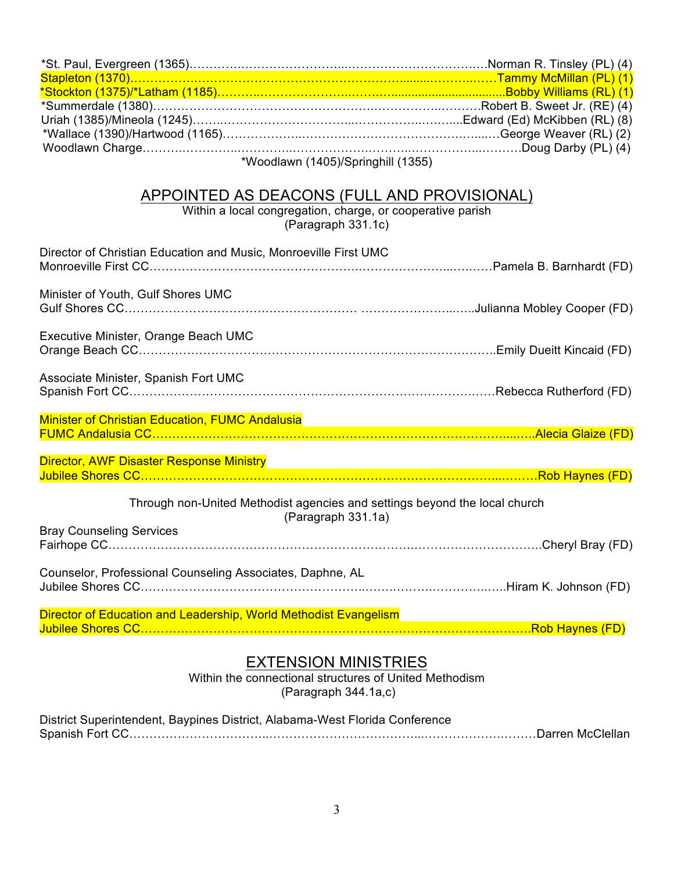| Stapleton (1370)……………………………………………………………………………………Tammy McMillan (PL) (1)               |  |
|---------------------------------------------------------------------------------------|--|
|                                                                                       |  |
|                                                                                       |  |
|                                                                                       |  |
|                                                                                       |  |
| *Woodlawn (1405)/Springhill (1355)                                                    |  |
|                                                                                       |  |
| APPOINTED AS DEACONS (FULL AND PROVISIONAL)                                           |  |
| Within a local congregation, charge, or cooperative parish<br>(Paragraph 331.1c)      |  |
| Director of Christian Education and Music, Monroeville First UMC                      |  |
|                                                                                       |  |
|                                                                                       |  |
| Minister of Youth, Gulf Shores UMC                                                    |  |
|                                                                                       |  |
|                                                                                       |  |
| Executive Minister, Orange Beach UMC                                                  |  |
|                                                                                       |  |
|                                                                                       |  |
| Associate Minister, Spanish Fort UMC                                                  |  |
|                                                                                       |  |
|                                                                                       |  |
|                                                                                       |  |
|                                                                                       |  |
| <b>Director, AWF Disaster Response Ministry</b>                                       |  |
|                                                                                       |  |
|                                                                                       |  |
| Through non-United Methodist agencies and settings beyond the local church            |  |
| (Paragraph 331.1a)                                                                    |  |
| <b>Bray Counseling Services</b>                                                       |  |
|                                                                                       |  |
|                                                                                       |  |
| Counselor, Professional Counseling Associates, Daphne, AL                             |  |
|                                                                                       |  |
| Director of Education and Leadership, World Methodist Evangelism                      |  |
|                                                                                       |  |
|                                                                                       |  |
|                                                                                       |  |
| <b>EXTENSION MINISTRIES</b><br>Within the connectional etructures of United Methodiam |  |

Within the connectional structures of United Methodism (Paragraph 344.1a,c)

District Superintendent, Baypines District, Alabama-West Florida Conference Spanish Fort CC……………………………..………………………………...……………….………Darren McClellan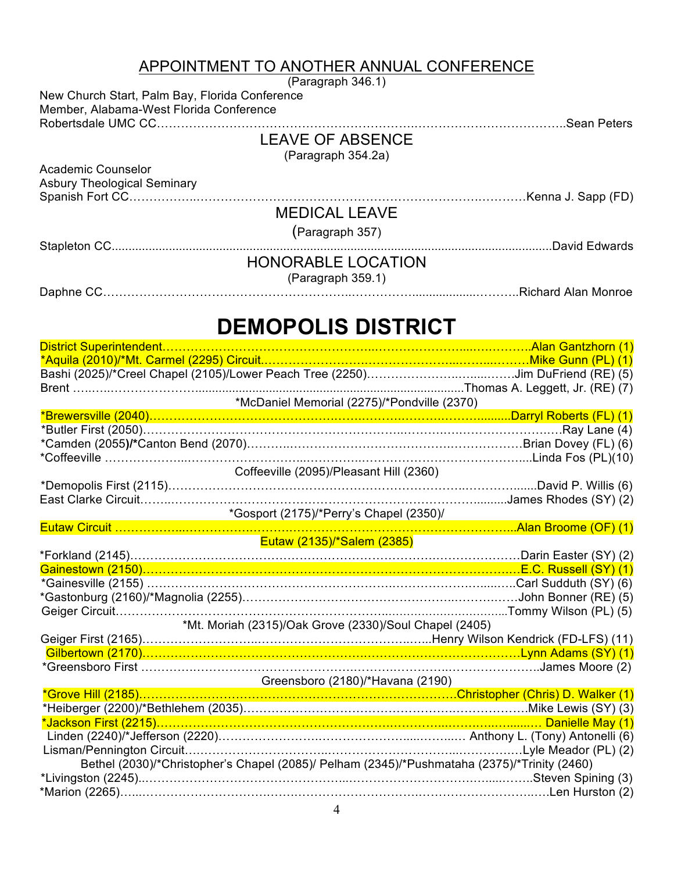## APPOINTMENT TO ANOTHER ANNUAL CONFERENCE

|                                                                                                                                                         | (Paragraph 346.1)                                      |  |
|---------------------------------------------------------------------------------------------------------------------------------------------------------|--------------------------------------------------------|--|
| New Church Start, Palm Bay, Florida Conference                                                                                                          |                                                        |  |
| Member, Alabama-West Florida Conference                                                                                                                 |                                                        |  |
|                                                                                                                                                         |                                                        |  |
|                                                                                                                                                         | <b>LEAVE OF ABSENCE</b>                                |  |
|                                                                                                                                                         | (Paragraph 354.2a)                                     |  |
| <b>Academic Counselor</b>                                                                                                                               |                                                        |  |
| <b>Asbury Theological Seminary</b>                                                                                                                      |                                                        |  |
|                                                                                                                                                         |                                                        |  |
|                                                                                                                                                         | <b>MEDICAL LEAVE</b>                                   |  |
|                                                                                                                                                         | (Paragraph 357)                                        |  |
|                                                                                                                                                         |                                                        |  |
|                                                                                                                                                         | <b>HONORABLE LOCATION</b>                              |  |
|                                                                                                                                                         | (Paragraph 359.1)                                      |  |
|                                                                                                                                                         |                                                        |  |
|                                                                                                                                                         |                                                        |  |
|                                                                                                                                                         | <b>DEMOPOLIS DISTRICT</b>                              |  |
| District Superintendent                                                                                                                                 |                                                        |  |
|                                                                                                                                                         |                                                        |  |
|                                                                                                                                                         |                                                        |  |
|                                                                                                                                                         |                                                        |  |
|                                                                                                                                                         | *McDaniel Memorial (2275)/*Pondville (2370)            |  |
|                                                                                                                                                         |                                                        |  |
|                                                                                                                                                         |                                                        |  |
|                                                                                                                                                         |                                                        |  |
|                                                                                                                                                         |                                                        |  |
|                                                                                                                                                         | Coffeeville (2095)/Pleasant Hill (2360)                |  |
|                                                                                                                                                         |                                                        |  |
|                                                                                                                                                         | *Gosport (2175)/*Perry's Chapel (2350)/                |  |
|                                                                                                                                                         |                                                        |  |
|                                                                                                                                                         | Eutaw (2135)/*Salem (2385)                             |  |
| *Forkland (2145)………………………………………………………………………………………Darin Easter (SY) (2)                                                                                  |                                                        |  |
|                                                                                                                                                         |                                                        |  |
| *Gainesville (2155) ……………………………………………………………………………………Carl Sudduth (SY) (6)                                                                               |                                                        |  |
|                                                                                                                                                         |                                                        |  |
|                                                                                                                                                         |                                                        |  |
|                                                                                                                                                         | *Mt. Moriah (2315)/Oak Grove (2330)/Soul Chapel (2405) |  |
| Geiger First (2165)…………………………………………………………………Henry Wilson Kendrick (FD-LFS) (11)<br>Gilbertown (2170)……………………………………………………………………………………Lynn Adams (SY) (1) |                                                        |  |
|                                                                                                                                                         |                                                        |  |
|                                                                                                                                                         |                                                        |  |

Greensboro (2180)/\*Havana (2190)

| Bethel (2030)/*Christopher's Chapel (2085)/ Pelham (2345)/*Pushmataha (2375)/*Trinity (2460) |  |
|----------------------------------------------------------------------------------------------|--|
|                                                                                              |  |
|                                                                                              |  |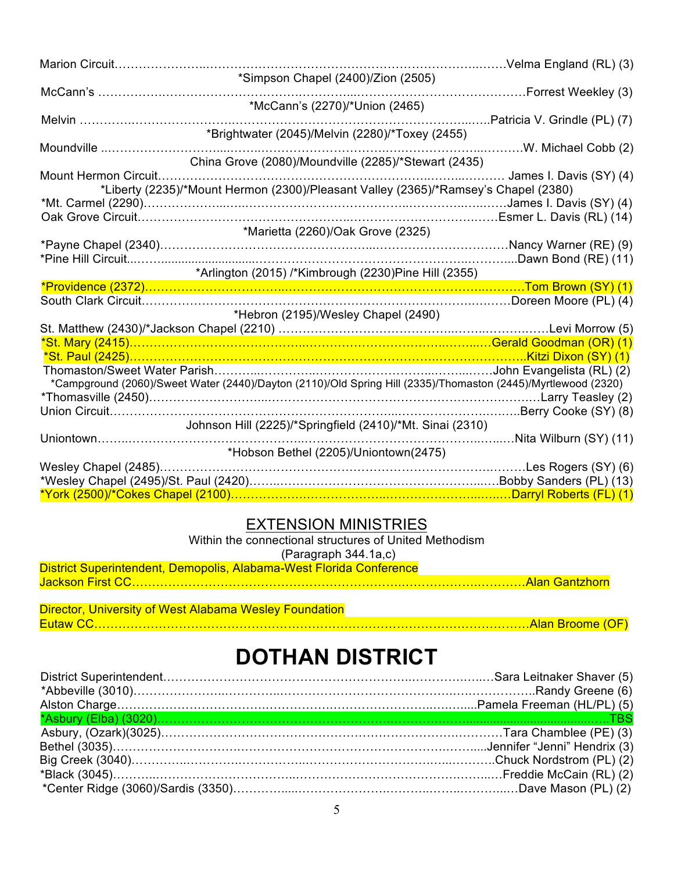| Marion Circuit |                                                                                                               |                              |
|----------------|---------------------------------------------------------------------------------------------------------------|------------------------------|
|                | *Simpson Chapel (2400)/Zion (2505)                                                                            |                              |
| McCann's       |                                                                                                               | Forrest Weekley (3)          |
|                | *McCann's (2270)/*Union (2465)                                                                                | Patricia V. Grindle (PL) (7) |
|                | *Brightwater (2045)/Melvin (2280)/*Toxey (2455)                                                               |                              |
| Moundville     |                                                                                                               | W. Michael Cobb (2)          |
|                | China Grove (2080)/Moundville (2285)/*Stewart (2435)                                                          |                              |
|                |                                                                                                               | James I. Davis (SY) (4)      |
|                | *Liberty (2235)/*Mount Hermon (2300)/Pleasant Valley (2365)/*Ramsey's Chapel (2380)                           |                              |
|                |                                                                                                               | James I. Davis (SY) (4)      |
|                |                                                                                                               |                              |
|                | *Marietta (2260)/Oak Grove (2325)                                                                             |                              |
|                |                                                                                                               |                              |
|                | *Arlington (2015) /*Kimbrough (2230)Pine Hill (2355)                                                          |                              |
|                |                                                                                                               |                              |
|                |                                                                                                               |                              |
|                | *Hebron (2195)/Wesley Chapel (2490)                                                                           |                              |
|                |                                                                                                               |                              |
|                |                                                                                                               |                              |
|                |                                                                                                               |                              |
|                | *Campground (2060)/Sweet Water (2440)/Dayton (2110)/Old Spring Hill (2335)/Thomaston (2445)/Myrtlewood (2320) |                              |
|                |                                                                                                               |                              |
|                |                                                                                                               |                              |
|                | Johnson Hill (2225)/*Springfield (2410)/*Mt. Sinai (2310)                                                     |                              |
| Uniontown      |                                                                                                               | Nita Wilburn (SY) (11)       |
|                | *Hobson Bethel (2205)/Uniontown(2475)                                                                         |                              |
|                |                                                                                                               | Les Rogers (SY) (6)          |
|                |                                                                                                               |                              |
|                |                                                                                                               |                              |

#### EXTENSION MINISTRIES

Within the connectional structures of United Methodism (Paragraph 344.1a,c)

| District Superintendent, Demopolis, Alabama-West Florida Conference |  |
|---------------------------------------------------------------------|--|
|                                                                     |  |
|                                                                     |  |

| Director, University of West Alabama Wesley Foundation |  |
|--------------------------------------------------------|--|
|                                                        |  |

# **DOTHAN DISTRICT**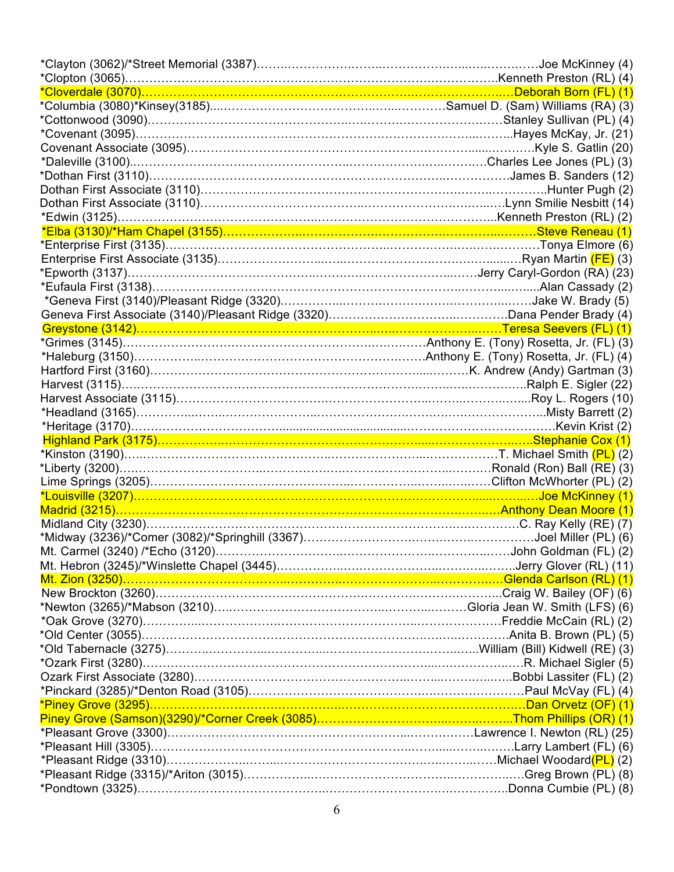| *Cloverdale (3070)…………………………………………………………………………………Deborah Born (FL) (1)      |  |
|-----------------------------------------------------------------------------|--|
|                                                                             |  |
|                                                                             |  |
|                                                                             |  |
|                                                                             |  |
|                                                                             |  |
| *Dothan First (3110)………………………………………………………………………………James B. Sanders (12)     |  |
|                                                                             |  |
|                                                                             |  |
|                                                                             |  |
|                                                                             |  |
|                                                                             |  |
|                                                                             |  |
|                                                                             |  |
|                                                                             |  |
|                                                                             |  |
|                                                                             |  |
|                                                                             |  |
|                                                                             |  |
|                                                                             |  |
|                                                                             |  |
|                                                                             |  |
|                                                                             |  |
|                                                                             |  |
|                                                                             |  |
|                                                                             |  |
|                                                                             |  |
|                                                                             |  |
|                                                                             |  |
|                                                                             |  |
|                                                                             |  |
|                                                                             |  |
|                                                                             |  |
|                                                                             |  |
|                                                                             |  |
|                                                                             |  |
|                                                                             |  |
|                                                                             |  |
|                                                                             |  |
|                                                                             |  |
|                                                                             |  |
| *Ozark First (3280)……………………………………………………………………………………………R. Michael Sigler (5) |  |
|                                                                             |  |
|                                                                             |  |
|                                                                             |  |
|                                                                             |  |
|                                                                             |  |
|                                                                             |  |
|                                                                             |  |
|                                                                             |  |
|                                                                             |  |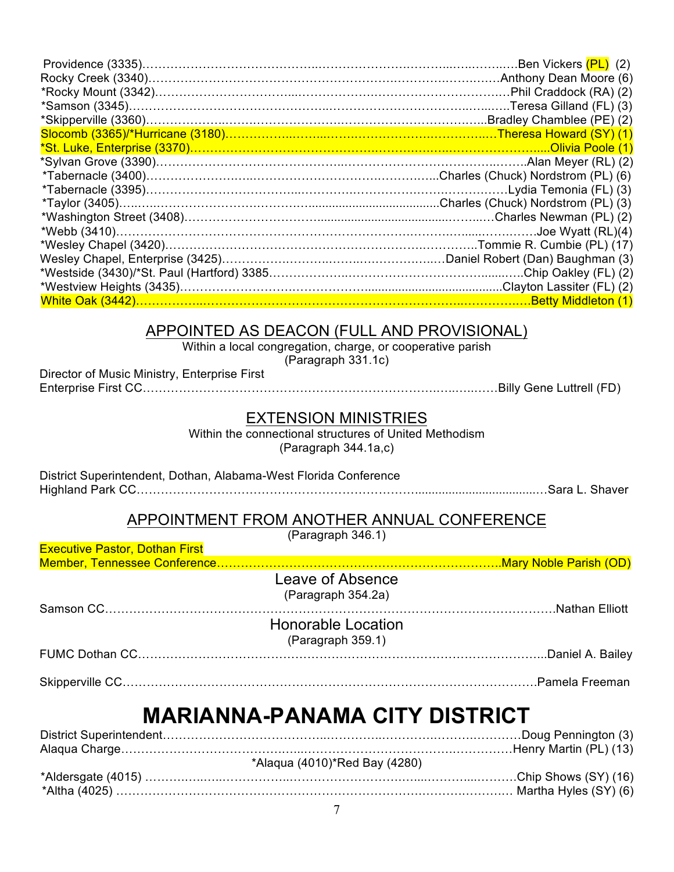| *Webb (3410)…………………………………………………………………………………………Joe Wyatt (RL)(4) |  |
|-----------------------------------------------------------------|--|
|                                                                 |  |
|                                                                 |  |
|                                                                 |  |
|                                                                 |  |
|                                                                 |  |

#### APPOINTED AS DEACON (FULL AND PROVISIONAL)

Within a local congregation, charge, or cooperative parish

 $($ Paragraph 331.1c)

| Director of Music Ministry, Enterprise First |  |
|----------------------------------------------|--|
|                                              |  |

#### EXTENSION MINISTRIES

Within the connectional structures of United Methodism (Paragraph 344.1a,c)

District Superintendent, Dothan, Alabama-West Florida Conference Highland Park CC……………………………………………………………....................................…Sara L. Shaver

### APPOINTMENT FROM ANOTHER ANNUAL CONFERENCE

(Paragraph 346.1)

| Leave of Absence<br>(Paragraph 354.2a)         |
|------------------------------------------------|
| <b>Honorable Location</b><br>(Paragraph 359.1) |
|                                                |
|                                                |
| <b>MARIANNA-PANAMA CITY DISTRICT</b>           |
| $*$ Alogua (4010) $*$ Dod Dou (4000)           |
|                                                |

| *Alaqua (4010)*Red Bay (4280) |
|-------------------------------|
|                               |
|                               |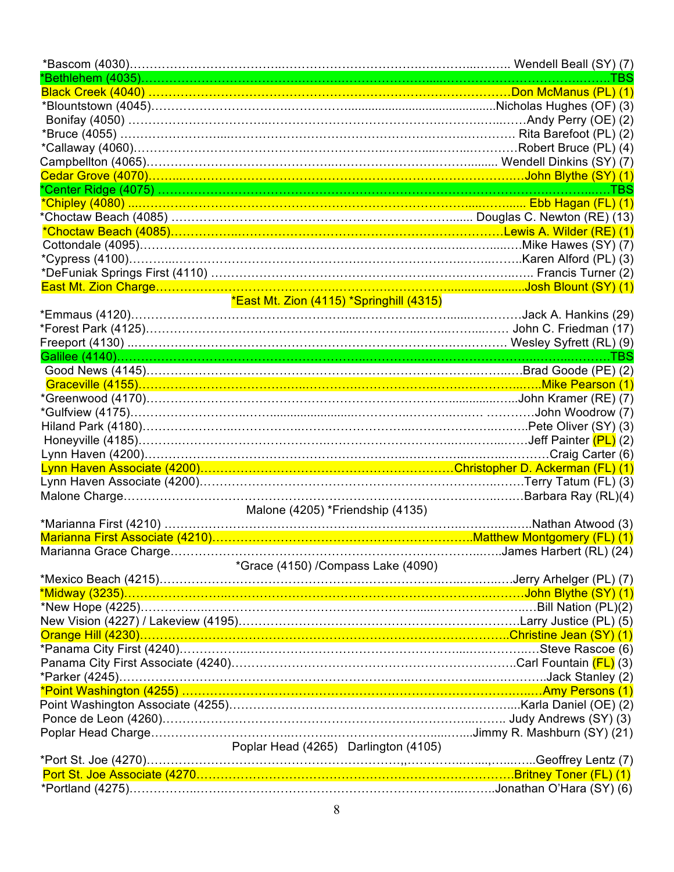|                                                                                | TBS               |
|--------------------------------------------------------------------------------|-------------------|
|                                                                                |                   |
|                                                                                |                   |
|                                                                                |                   |
|                                                                                |                   |
|                                                                                |                   |
|                                                                                |                   |
|                                                                                |                   |
|                                                                                |                   |
|                                                                                |                   |
| *Choctaw Beach (4085) ………………………………………………………………………… Douglas C. Newton (RE) (13) |                   |
|                                                                                |                   |
|                                                                                |                   |
|                                                                                |                   |
|                                                                                |                   |
|                                                                                |                   |
| *East Mt. Zion (4115) *Springhill (4315)                                       |                   |
|                                                                                |                   |
| *Emmaus (4120)………………………………………………………………………………………Jack A. Hankins (29)            |                   |
|                                                                                |                   |
|                                                                                |                   |
|                                                                                |                   |
|                                                                                |                   |
|                                                                                |                   |
|                                                                                |                   |
|                                                                                |                   |
|                                                                                |                   |
|                                                                                |                   |
|                                                                                |                   |
|                                                                                |                   |
|                                                                                |                   |
|                                                                                |                   |
| Malone (4205) *Friendship (4135)                                               |                   |
|                                                                                | Nathan Atwood (3) |
|                                                                                |                   |
|                                                                                |                   |
| *Grace (4150) /Compass Lake (4090)                                             |                   |
|                                                                                |                   |
|                                                                                |                   |
|                                                                                |                   |
|                                                                                |                   |
|                                                                                |                   |
|                                                                                |                   |
|                                                                                |                   |
|                                                                                |                   |
| *Point Washington (4255) ………………………………………………………………………………………Amy Persons (1)      |                   |
|                                                                                |                   |
|                                                                                |                   |
|                                                                                |                   |
| Poplar Head (4265) Darlington (4105)                                           |                   |
|                                                                                |                   |
|                                                                                |                   |
|                                                                                |                   |
|                                                                                |                   |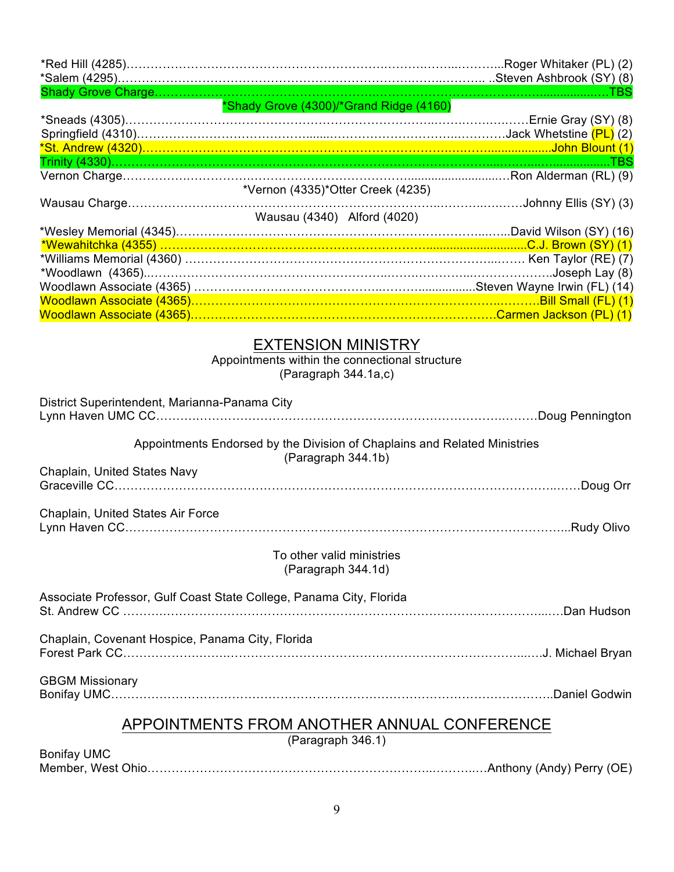|                                                  | *Shady Grove (4300)/*Grand Ridge (4160)                                                             |  |
|--------------------------------------------------|-----------------------------------------------------------------------------------------------------|--|
|                                                  |                                                                                                     |  |
|                                                  |                                                                                                     |  |
|                                                  | *Vernon (4335)*Otter Creek (4235)                                                                   |  |
|                                                  | Wausau (4340) Alford (4020)                                                                         |  |
|                                                  |                                                                                                     |  |
|                                                  |                                                                                                     |  |
|                                                  |                                                                                                     |  |
|                                                  |                                                                                                     |  |
|                                                  |                                                                                                     |  |
|                                                  |                                                                                                     |  |
|                                                  | <b>EXTENSION MINISTRY</b><br>Appointments within the connectional structure<br>(Paragraph 344.1a,c) |  |
| District Superintendent, Marianna-Panama City    |                                                                                                     |  |
|                                                  | Appointments Endorsed by the Division of Chaplains and Related Ministries<br>(Paragraph 344.1b)     |  |
| Chaplain, United States Navy                     |                                                                                                     |  |
| Chaplain, United States Air Force                |                                                                                                     |  |
|                                                  |                                                                                                     |  |
|                                                  | To other valid ministries<br>(Paragraph 344.1d)                                                     |  |
|                                                  | Associate Professor, Gulf Coast State College, Panama City, Florida                                 |  |
| Chaplain, Covenant Hospice, Panama City, Florida |                                                                                                     |  |
|                                                  |                                                                                                     |  |
| <b>GBGM Missionary</b>                           |                                                                                                     |  |
| APPOINTMENTS FROM ANOTHER ANNUAL CONFERENCE      |                                                                                                     |  |
|                                                  | (Paragraph 346.1)                                                                                   |  |
| <b>Bonifay UMC</b>                               |                                                                                                     |  |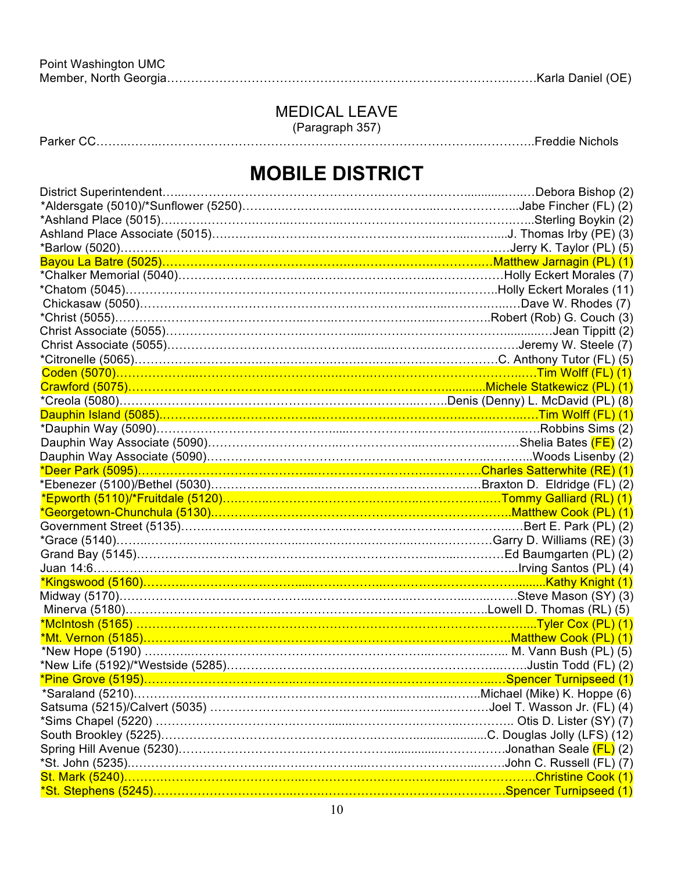# MEDICAL LEAVE

(Paragraph 357)

Parker CC……..……..…………………………………….……………………………….…………..Freddie Nichols

# **MOBILE DISTRICT**

| *Georgetown-Chunchula (5130)……………………………………………………………………Matthew Cook (PL) (1)                                                                       |  |
|---------------------------------------------------------------------------------------------------------------------------------------------------|--|
|                                                                                                                                                   |  |
| *Grace (5140)……………………………………………………………………………………Garry D. Williams (RE) (3)                                                                           |  |
|                                                                                                                                                   |  |
|                                                                                                                                                   |  |
|                                                                                                                                                   |  |
|                                                                                                                                                   |  |
|                                                                                                                                                   |  |
|                                                                                                                                                   |  |
|                                                                                                                                                   |  |
| *New Hope (5190) ………………………………………………………………………………………… M. Vann Bush (PL) (5)                                                                         |  |
|                                                                                                                                                   |  |
| <u>*Pine Grove (5195)…………………………………………………………………………………Spencer Turnipseed (1)</u>                                                                    |  |
|                                                                                                                                                   |  |
|                                                                                                                                                   |  |
| *Sims Chapel (5220) ……………………………………………………………………………………… Otis D. Lister (SY) (7)                                                                     |  |
|                                                                                                                                                   |  |
|                                                                                                                                                   |  |
| *St. John (5235)………………………………………………………………………………………John C. Russell (FL) (7)<br>St. Mark (5240)……………………………………………………………………………………………Christine Cook (1) |  |
|                                                                                                                                                   |  |
|                                                                                                                                                   |  |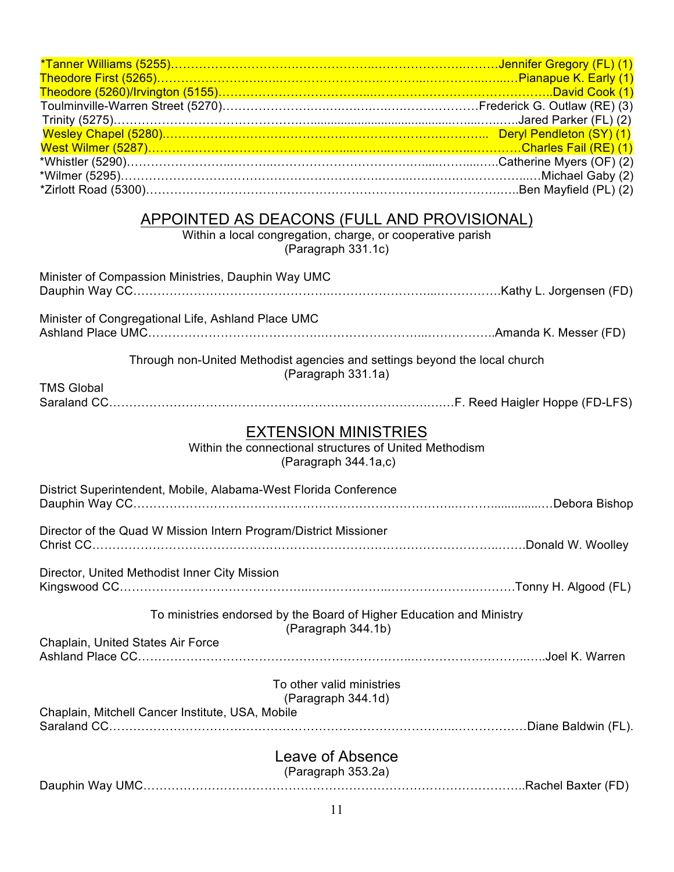#### APPOINTED AS DEACONS (FULL AND PROVISIONAL)

Within a local congregation, charge, or cooperative parish (Paragraph 331.1c)

| Minister of Compassion Ministries, Dauphin Way UMC                                                            |  |
|---------------------------------------------------------------------------------------------------------------|--|
| Minister of Congregational Life, Ashland Place UMC                                                            |  |
| Through non-United Methodist agencies and settings beyond the local church<br>(Paragraph 331.1a)              |  |
| <b>TMS Global</b>                                                                                             |  |
| <b>EXTENSION MINISTRIES</b><br>Within the connectional structures of United Methodism<br>(Paragraph 344.1a,c) |  |
| District Superintendent, Mobile, Alabama-West Florida Conference                                              |  |
| Director of the Quad W Mission Intern Program/District Missioner                                              |  |
| Director, United Methodist Inner City Mission                                                                 |  |
| To ministries endorsed by the Board of Higher Education and Ministry<br>(Paragraph 344.1b)                    |  |
| Chaplain, United States Air Force                                                                             |  |
| To other valid ministries<br>(Paragraph 344.1d)<br>Chaplain, Mitchell Cancer Institute, USA, Mobile           |  |
| Leave of Absence<br>(Paragraph 353.2a)                                                                        |  |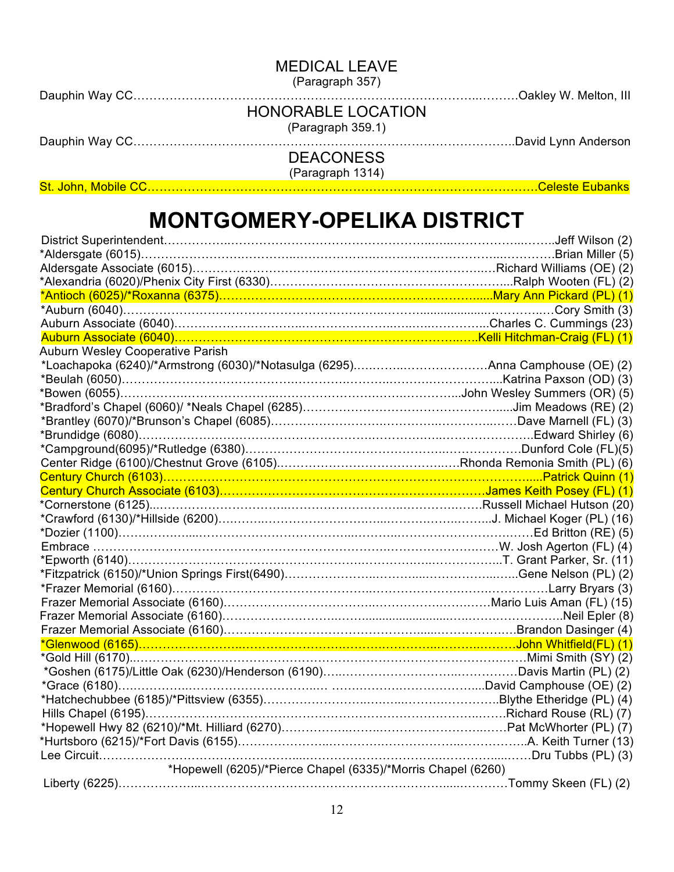MEDICAL LEAVE

(Paragraph 357)

Dauphin Way CC…………………………………………………………………………..……….Oakley W. Melton, III

(Paragraph 359.1)

Dauphin Way CC…………………………………………………………………………………..David Lynn Anderson

DEACONESS (Paragraph 1314)

St. John, Mobile CC…………………………………………………………………………………….Celeste Eubanks

# **MONTGOMERY-OPELIKA DISTRICT**

| *Alexandria (6020)/Phenix City First (6330)…………………………………………………………Ralph Wooten (FL) (2)<br><mark>*Antioch (6025)/*Roxanna (6375)……………………………………………………………Mary Ann Pickard (PL) (1)</mark> |  |
|----------------------------------------------------------------------------------------------------------------------------------------------------------------------------------------|--|
|                                                                                                                                                                                        |  |
|                                                                                                                                                                                        |  |
|                                                                                                                                                                                        |  |
| Auburn Wesley Cooperative Parish                                                                                                                                                       |  |
|                                                                                                                                                                                        |  |
|                                                                                                                                                                                        |  |
|                                                                                                                                                                                        |  |
|                                                                                                                                                                                        |  |
|                                                                                                                                                                                        |  |
|                                                                                                                                                                                        |  |
|                                                                                                                                                                                        |  |
|                                                                                                                                                                                        |  |
|                                                                                                                                                                                        |  |
|                                                                                                                                                                                        |  |
|                                                                                                                                                                                        |  |
|                                                                                                                                                                                        |  |
|                                                                                                                                                                                        |  |
|                                                                                                                                                                                        |  |
|                                                                                                                                                                                        |  |
|                                                                                                                                                                                        |  |
|                                                                                                                                                                                        |  |
|                                                                                                                                                                                        |  |
|                                                                                                                                                                                        |  |
|                                                                                                                                                                                        |  |
|                                                                                                                                                                                        |  |
| *Gold Hill (6170)………………………………………………………………………………………Mimi Smith (SY) (2)                                                                                                                  |  |
|                                                                                                                                                                                        |  |
|                                                                                                                                                                                        |  |
|                                                                                                                                                                                        |  |
|                                                                                                                                                                                        |  |
|                                                                                                                                                                                        |  |
|                                                                                                                                                                                        |  |
|                                                                                                                                                                                        |  |
| *Hopewell (6205)/*Pierce Chapel (6335)/*Morris Chapel (6260)                                                                                                                           |  |
|                                                                                                                                                                                        |  |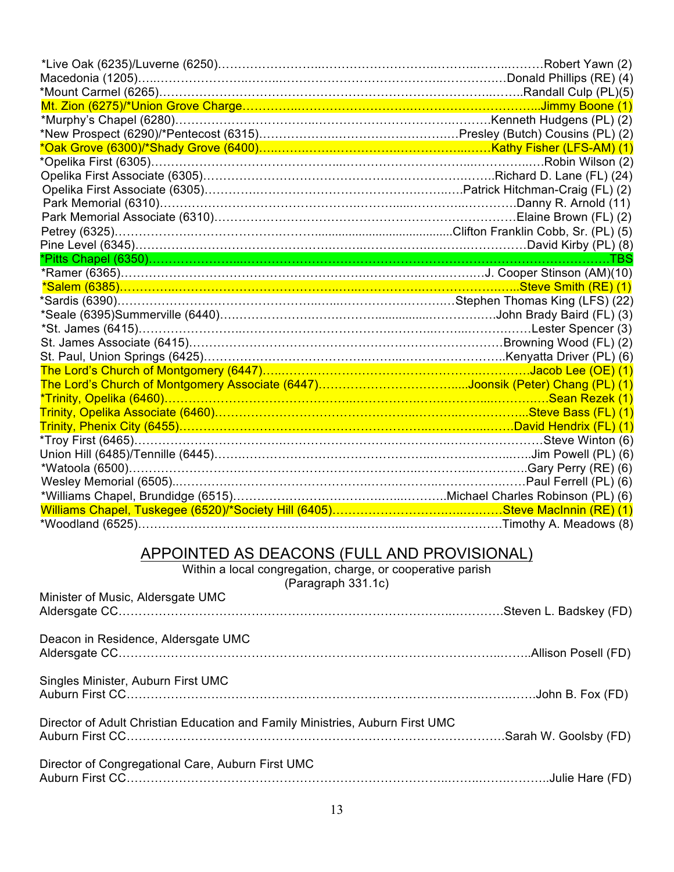| *Oak Grove (6300)/*Shady Grove (6400)………………………………………………………Kathy Fisher (LFS-AM) (1)                                                                                                |                         |
|------------------------------------------------------------------------------------------------------------------------------------------------------------------------------------|-------------------------|
|                                                                                                                                                                                    |                         |
|                                                                                                                                                                                    |                         |
|                                                                                                                                                                                    |                         |
|                                                                                                                                                                                    |                         |
|                                                                                                                                                                                    |                         |
|                                                                                                                                                                                    |                         |
|                                                                                                                                                                                    |                         |
|                                                                                                                                                                                    |                         |
|                                                                                                                                                                                    |                         |
|                                                                                                                                                                                    |                         |
|                                                                                                                                                                                    |                         |
|                                                                                                                                                                                    |                         |
|                                                                                                                                                                                    |                         |
|                                                                                                                                                                                    |                         |
|                                                                                                                                                                                    |                         |
| St. Paul, Union Springs (6425)………………………………………………………………………Kenyatta Driver (PL) (6)<br><mark>The Lord's Church of Montgomery (6447)………………………………………………………………Jacob Lee (OE) (1)</mark> |                         |
|                                                                                                                                                                                    |                         |
| *Trinity, Opelika (6460)…………………………………………………………………………………………Sean Rezek (1)                                                                                                           |                         |
| Trinity, Opelika Associate (6460)………………………………………………………………………………Steve Bass (FL) (1)                                                                                                 |                         |
| Trinity, Phenix City (6455)…………………………………………………………………………David Hendrix (FL) (1)                                                                                                      |                         |
|                                                                                                                                                                                    |                         |
|                                                                                                                                                                                    |                         |
|                                                                                                                                                                                    |                         |
|                                                                                                                                                                                    |                         |
|                                                                                                                                                                                    |                         |
|                                                                                                                                                                                    |                         |
|                                                                                                                                                                                    | .Timothy A. Meadows (8) |

## APPOINTED AS DEACONS (FULL AND PROVISIONAL)

Within a local congregation, charge, or cooperative parish

 $($ Paragraph 331.1c)

| Minister of Music, Aldersgate UMC                                             |  |
|-------------------------------------------------------------------------------|--|
| Deacon in Residence, Aldersgate UMC                                           |  |
|                                                                               |  |
| Singles Minister, Auburn First UMC                                            |  |
| Director of Adult Christian Education and Family Ministries, Auburn First UMC |  |
| Director of Congregational Care, Auburn First UMC                             |  |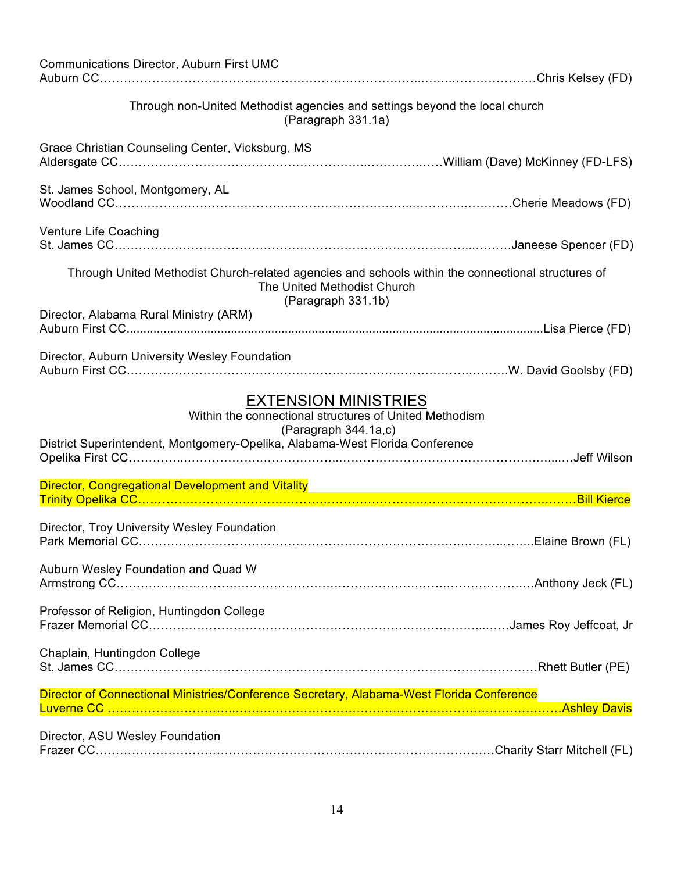| <b>Communications Director, Auburn First UMC</b>                                                                                                                                              |  |
|-----------------------------------------------------------------------------------------------------------------------------------------------------------------------------------------------|--|
| Through non-United Methodist agencies and settings beyond the local church                                                                                                                    |  |
| (Paragraph 331.1a)                                                                                                                                                                            |  |
| Grace Christian Counseling Center, Vicksburg, MS                                                                                                                                              |  |
| St. James School, Montgomery, AL                                                                                                                                                              |  |
| Venture Life Coaching                                                                                                                                                                         |  |
| Through United Methodist Church-related agencies and schools within the connectional structures of<br>The United Methodist Church<br>(Paragraph 331.1b)                                       |  |
| Director, Alabama Rural Ministry (ARM)                                                                                                                                                        |  |
| Director, Auburn University Wesley Foundation                                                                                                                                                 |  |
| <b>EXTENSION MINISTRIES</b><br>Within the connectional structures of United Methodism<br>(Paragraph 344.1a,c)<br>District Superintendent, Montgomery-Opelika, Alabama-West Florida Conference |  |
| Director, Congregational Development and Vitality <b>Constitution and September 2006</b>                                                                                                      |  |
|                                                                                                                                                                                               |  |
| Director, Troy University Wesley Foundation                                                                                                                                                   |  |
| Auburn Wesley Foundation and Quad W                                                                                                                                                           |  |
| Professor of Religion, Huntingdon College                                                                                                                                                     |  |
| Chaplain, Huntingdon College                                                                                                                                                                  |  |
| Director of Connectional Ministries/Conference Secretary, Alabama-West Florida Conference                                                                                                     |  |
| Director, ASU Wesley Foundation                                                                                                                                                               |  |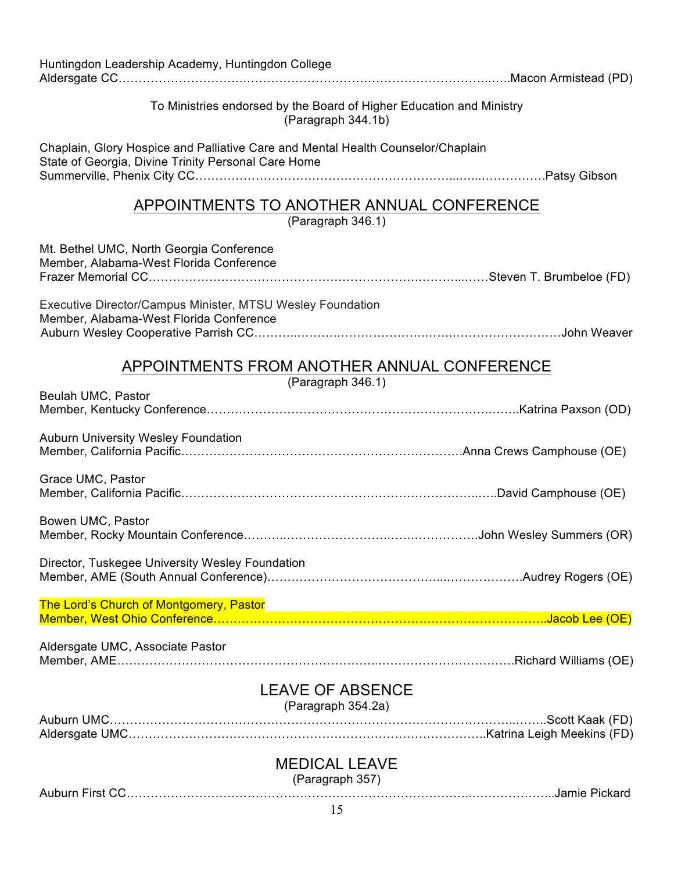| Huntingdon Leadership Academy, Huntingdon College                                                                                       |  |
|-----------------------------------------------------------------------------------------------------------------------------------------|--|
| To Ministries endorsed by the Board of Higher Education and Ministry<br>(Paragraph 344.1b)                                              |  |
| Chaplain, Glory Hospice and Palliative Care and Mental Health Counselor/Chaplain<br>State of Georgia, Divine Trinity Personal Care Home |  |
| APPOINTMENTS TO ANOTHER ANNUAL CONFERENCE<br>(Paragraph 346.1)                                                                          |  |
| Mt. Bethel UMC, North Georgia Conference<br>Member, Alabama-West Florida Conference                                                     |  |
| Executive Director/Campus Minister, MTSU Wesley Foundation<br>Member, Alabama-West Florida Conference                                   |  |
| APPOINTMENTS FROM ANOTHER ANNUAL CONFERENCE                                                                                             |  |
| (Paragraph 346.1)<br>Beulah UMC, Pastor                                                                                                 |  |
| <b>Auburn University Wesley Foundation</b>                                                                                              |  |
| Grace UMC, Pastor                                                                                                                       |  |
| Bowen UMC, Pastor                                                                                                                       |  |
| Director, Tuskegee University Wesley Foundation                                                                                         |  |
| The Lord's Church of Montgomery, Pastor                                                                                                 |  |
| Aldersgate UMC, Associate Pastor                                                                                                        |  |
| <b>LEAVE OF ABSENCE</b><br>(Paragraph 354.2a)                                                                                           |  |
| <b>MEDICAL LEAVE</b>                                                                                                                    |  |

(Paragraph 357)

Auburn First CC…………………………………………………………………………..………………...Jamie Pickard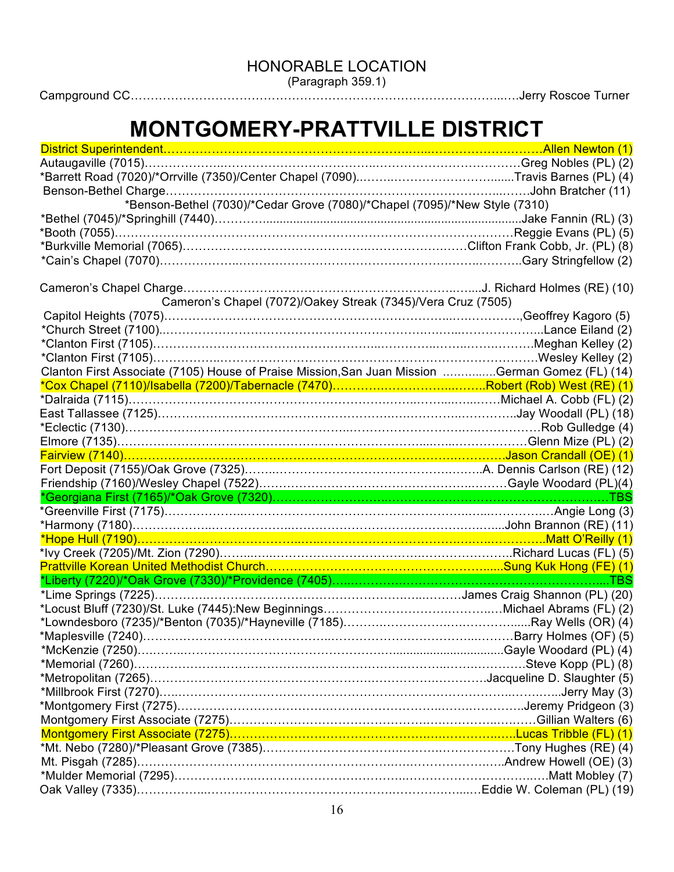HONORABLE LOCATION

(Paragraph 359.1)

Campground CC………………………………………………………………………………...….Jerry Roscoe Turner

# **MONTGOMERY-PRATTVILLE DISTRICT**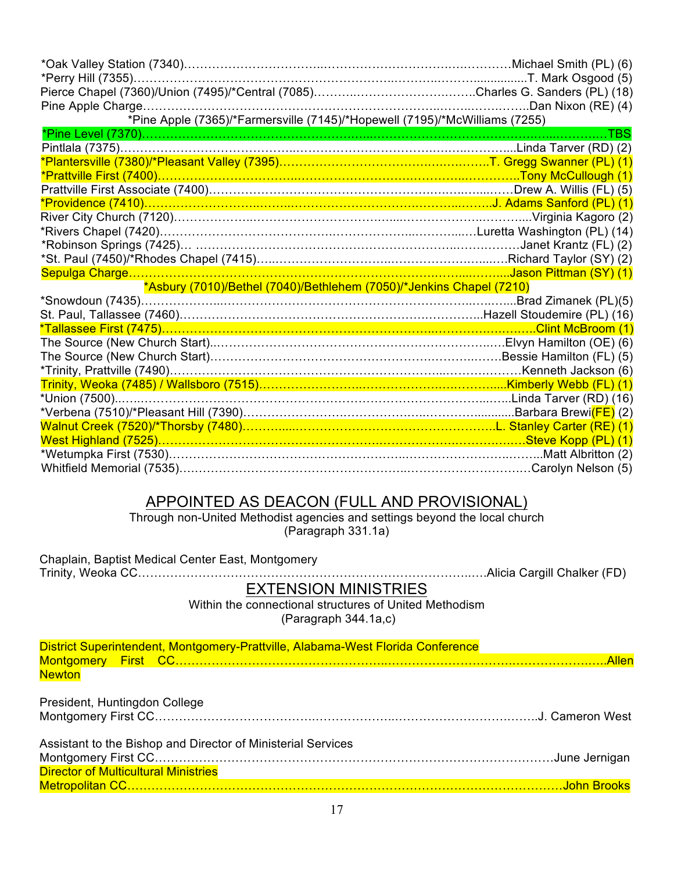| *Pine Apple (7365)/*Farmersville (7145)/*Hopewell (7195)/*McWilliams (7255) |                       |
|-----------------------------------------------------------------------------|-----------------------|
|                                                                             |                       |
|                                                                             |                       |
|                                                                             |                       |
| *Prattville First (7400)……………………………………………………………………………………Tony McCullough (1) |                       |
|                                                                             |                       |
|                                                                             |                       |
|                                                                             |                       |
|                                                                             |                       |
|                                                                             |                       |
|                                                                             |                       |
|                                                                             |                       |
| *Asbury (7010)/Bethel (7040)/Bethlehem (7050)/*Jenkins Chapel (7210)        |                       |
|                                                                             | .Brad Zimanek (PL)(5) |
|                                                                             |                       |
|                                                                             |                       |
|                                                                             |                       |
|                                                                             |                       |
|                                                                             |                       |
|                                                                             |                       |
|                                                                             |                       |
|                                                                             |                       |
|                                                                             |                       |
|                                                                             |                       |
|                                                                             |                       |
|                                                                             |                       |

#### APPOINTED AS DEACON (FULL AND PROVISIONAL)

Through non-United Methodist agencies and settings beyond the local church (Paragraph 331.1a)

| Chaplain, Baptist Medical Center East, Montgomery                                                                                                                    |  |
|----------------------------------------------------------------------------------------------------------------------------------------------------------------------|--|
| <b>EXTENSION MINISTRIES</b>                                                                                                                                          |  |
| Within the connectional structures of United Methodism<br>(Paragraph 344.1a,c)                                                                                       |  |
| District Superintendent, Montgomery-Prattville, Alabama-West Florida Conference                                                                                      |  |
|                                                                                                                                                                      |  |
| <b>Newton</b>                                                                                                                                                        |  |
| President, Huntingdon College                                                                                                                                        |  |
|                                                                                                                                                                      |  |
| Assistant to the Bishop and Director of Ministerial Services                                                                                                         |  |
|                                                                                                                                                                      |  |
| <b>Director of Multicultural Ministries</b><br><u> 1980 - Johann Johann Stein, meil am der Stein am der Stein am der Stein am der Stein am der Stein am der Stei</u> |  |
|                                                                                                                                                                      |  |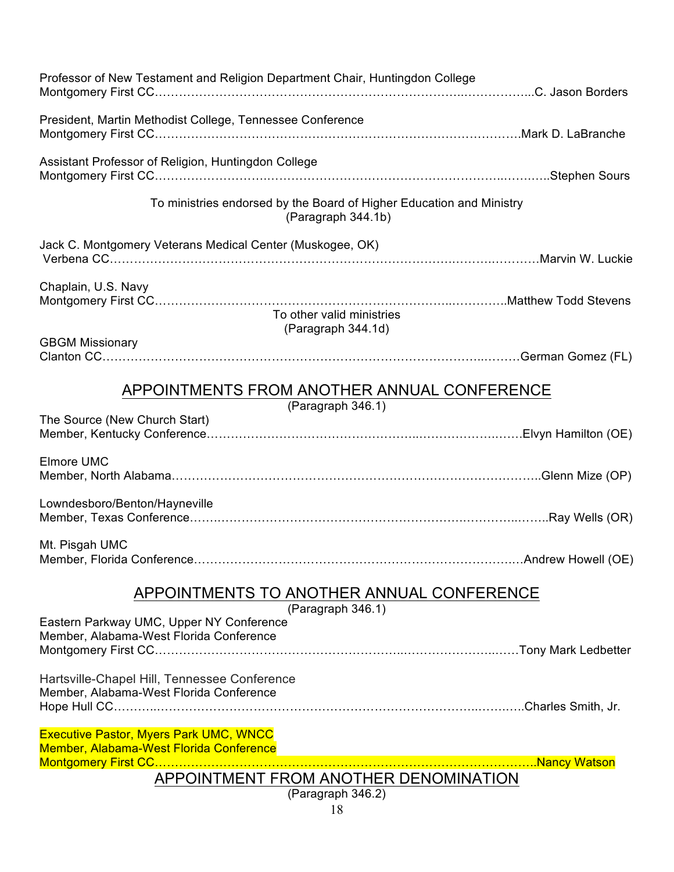| Professor of New Testament and Religion Department Chair, Huntingdon College                                                                                                                                                                                                                                                     |  |
|----------------------------------------------------------------------------------------------------------------------------------------------------------------------------------------------------------------------------------------------------------------------------------------------------------------------------------|--|
| President, Martin Methodist College, Tennessee Conference                                                                                                                                                                                                                                                                        |  |
| Assistant Professor of Religion, Huntingdon College                                                                                                                                                                                                                                                                              |  |
| To ministries endorsed by the Board of Higher Education and Ministry<br>(Paragraph 344.1b)                                                                                                                                                                                                                                       |  |
| Jack C. Montgomery Veterans Medical Center (Muskogee, OK)                                                                                                                                                                                                                                                                        |  |
| Chaplain, U.S. Navy<br>To other valid ministries<br>(Paragraph 344.1d)                                                                                                                                                                                                                                                           |  |
| <b>GBGM Missionary</b>                                                                                                                                                                                                                                                                                                           |  |
| APPOINTMENTS FROM ANOTHER ANNUAL CONFERENCE<br>(Paragraph 346.1)                                                                                                                                                                                                                                                                 |  |
| The Source (New Church Start)                                                                                                                                                                                                                                                                                                    |  |
| Elmore UMC                                                                                                                                                                                                                                                                                                                       |  |
| Lowndesboro/Benton/Hayneville                                                                                                                                                                                                                                                                                                    |  |
| Mt. Pisgah UMC                                                                                                                                                                                                                                                                                                                   |  |
| APPOINTMENTS TO ANOTHER ANNUAL CONFERENCE<br>(Paragraph 346.1)                                                                                                                                                                                                                                                                   |  |
| Eastern Parkway UMC, Upper NY Conference<br>Member, Alabama-West Florida Conference                                                                                                                                                                                                                                              |  |
| Hartsville-Chapel Hill, Tennessee Conference<br>Member, Alabama-West Florida Conference                                                                                                                                                                                                                                          |  |
| <b>Executive Pastor, Myers Park UMC, WNCC</b><br>Member, Alabama-West Florida Conference<br><u> 1989 - Johann John Stein, mars and de finland of the state of the state of the state of the state of the state of the state of the state of the state of the state of the state of the state of the state of the state of th</u> |  |
| APPOINTMENT FROM ANOTHER DENOMINATION                                                                                                                                                                                                                                                                                            |  |
| (Paragraph 346.2)<br>1 <sup>Q</sup>                                                                                                                                                                                                                                                                                              |  |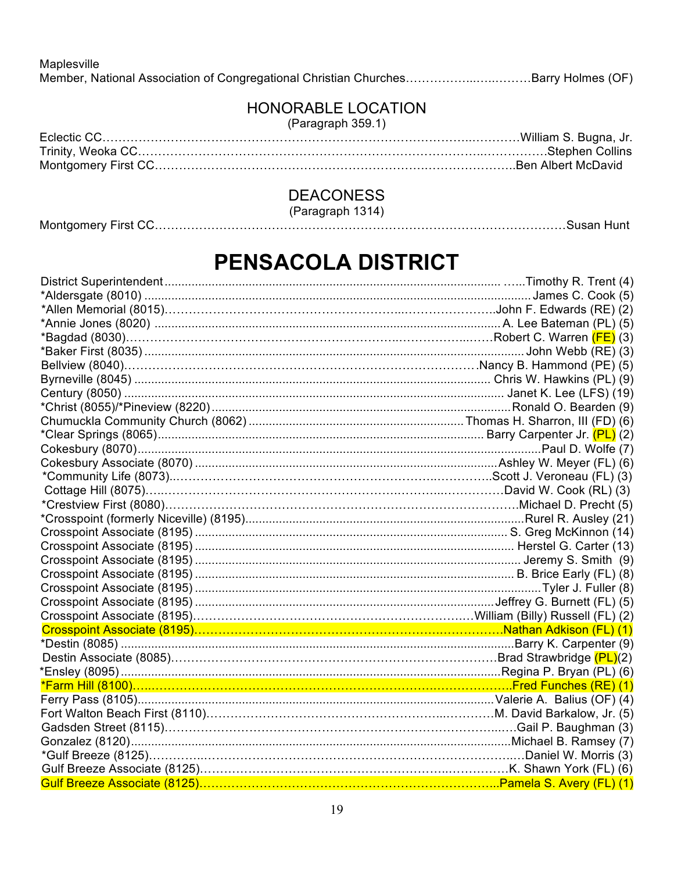Maplesville Member, National Association of Congregational Christian Churches……………...…..………Barry Holmes (OF)

## HONORABLE LOCATION

(Paragraph 359.1)

## DEACONESS

(Paragraph 1314)

# **PENSACOLA DISTRICT**

| *Bagdad (8030)……………………………………………………………………………………Robert C. Warren <mark>(FE)</mark> (3) |  |
|--------------------------------------------------------------------------------------|--|
|                                                                                      |  |
|                                                                                      |  |
|                                                                                      |  |
|                                                                                      |  |
|                                                                                      |  |
|                                                                                      |  |
|                                                                                      |  |
|                                                                                      |  |
|                                                                                      |  |
|                                                                                      |  |
|                                                                                      |  |
|                                                                                      |  |
|                                                                                      |  |
|                                                                                      |  |
|                                                                                      |  |
|                                                                                      |  |
|                                                                                      |  |
|                                                                                      |  |
|                                                                                      |  |
|                                                                                      |  |
|                                                                                      |  |
|                                                                                      |  |
|                                                                                      |  |
|                                                                                      |  |
|                                                                                      |  |
|                                                                                      |  |
|                                                                                      |  |
|                                                                                      |  |
|                                                                                      |  |
|                                                                                      |  |
|                                                                                      |  |
|                                                                                      |  |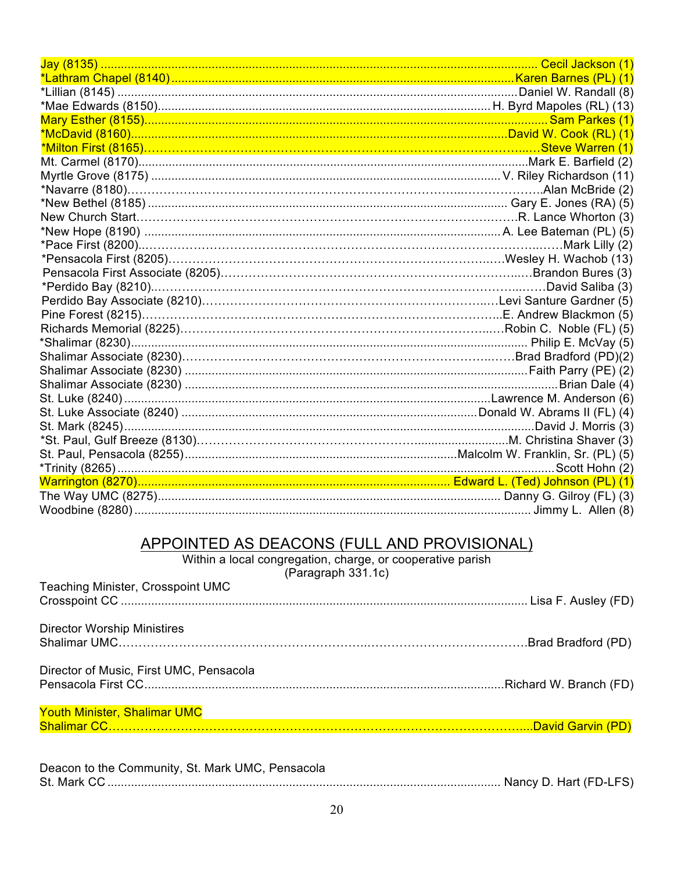# APPOINTED AS DEACONS (FULL AND PROVISIONAL)<br>Within a local congregation, charge, or cooperative parish<br>(Paragraph 331.1c)

| Teaching Minister, Crosspoint UMC       |  |
|-----------------------------------------|--|
|                                         |  |
| <b>Director Worship Ministires</b>      |  |
|                                         |  |
| Director of Music, First UMC, Pensacola |  |
|                                         |  |
| <b>Youth Minister, Shalimar UMC</b>     |  |
|                                         |  |
|                                         |  |

| Deacon to the Community, St. Mark UMC, Pensacola |  |
|--------------------------------------------------|--|
|                                                  |  |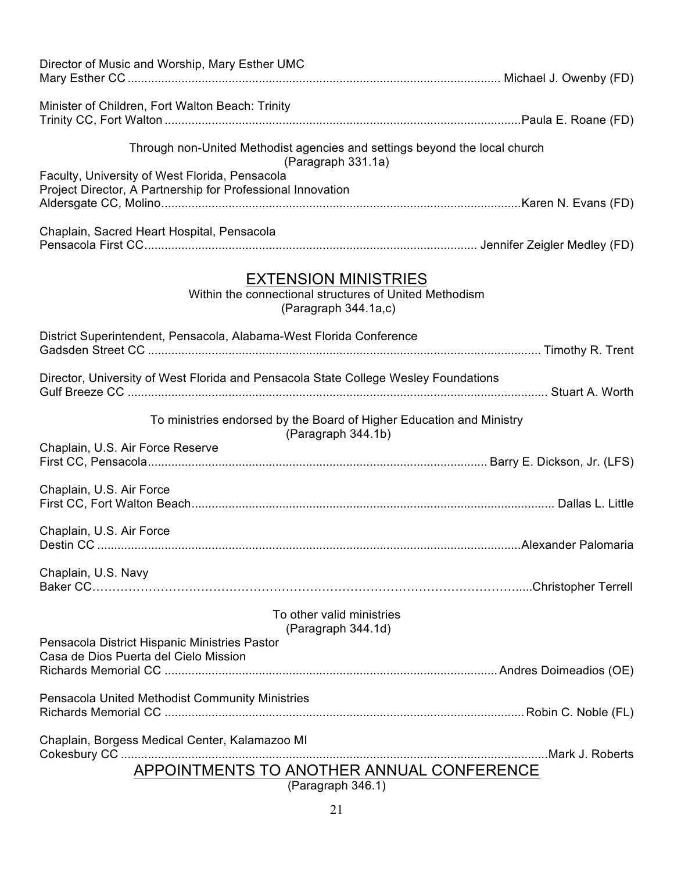| Director of Music and Worship, Mary Esther UMC                                                                |  |  |  |
|---------------------------------------------------------------------------------------------------------------|--|--|--|
| Minister of Children, Fort Walton Beach: Trinity                                                              |  |  |  |
| Through non-United Methodist agencies and settings beyond the local church<br>(Paragraph 331.1a)              |  |  |  |
| Faculty, University of West Florida, Pensacola<br>Project Director, A Partnership for Professional Innovation |  |  |  |
| Chaplain, Sacred Heart Hospital, Pensacola                                                                    |  |  |  |
| <b>EXTENSION MINISTRIES</b><br>Within the connectional structures of United Methodism<br>(Paragraph 344.1a,c) |  |  |  |
| District Superintendent, Pensacola, Alabama-West Florida Conference                                           |  |  |  |
| Director, University of West Florida and Pensacola State College Wesley Foundations                           |  |  |  |
| To ministries endorsed by the Board of Higher Education and Ministry<br>(Paragraph 344.1b)                    |  |  |  |
| Chaplain, U.S. Air Force Reserve                                                                              |  |  |  |
| Chaplain, U.S. Air Force                                                                                      |  |  |  |
| Chaplain, U.S. Air Force                                                                                      |  |  |  |
| Chaplain, U.S. Navy                                                                                           |  |  |  |
| To other valid ministries<br>(Paragraph 344.1d)                                                               |  |  |  |
| Pensacola District Hispanic Ministries Pastor<br>Casa de Dios Puerta del Cielo Mission                        |  |  |  |
| Pensacola United Methodist Community Ministries                                                               |  |  |  |
| Chaplain, Borgess Medical Center, Kalamazoo MI                                                                |  |  |  |
| APPOINTMENTS TO ANOTHER ANNUAL CONFERENCE<br>(Paragraph 346.1)                                                |  |  |  |